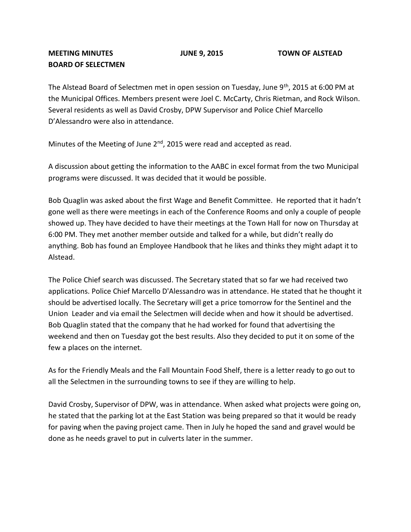## **BOARD OF SELECTMEN**

The Alstead Board of Selectmen met in open session on Tuesday, June 9<sup>th</sup>, 2015 at 6:00 PM at the Municipal Offices. Members present were Joel C. McCarty, Chris Rietman, and Rock Wilson. Several residents as well as David Crosby, DPW Supervisor and Police Chief Marcello D'Alessandro were also in attendance.

Minutes of the Meeting of June 2<sup>nd</sup>, 2015 were read and accepted as read.

A discussion about getting the information to the AABC in excel format from the two Municipal programs were discussed. It was decided that it would be possible.

Bob Quaglin was asked about the first Wage and Benefit Committee. He reported that it hadn't gone well as there were meetings in each of the Conference Rooms and only a couple of people showed up. They have decided to have their meetings at the Town Hall for now on Thursday at 6:00 PM. They met another member outside and talked for a while, but didn't really do anything. Bob has found an Employee Handbook that he likes and thinks they might adapt it to Alstead.

The Police Chief search was discussed. The Secretary stated that so far we had received two applications. Police Chief Marcello D'Alessandro was in attendance. He stated that he thought it should be advertised locally. The Secretary will get a price tomorrow for the Sentinel and the Union Leader and via email the Selectmen will decide when and how it should be advertised. Bob Quaglin stated that the company that he had worked for found that advertising the weekend and then on Tuesday got the best results. Also they decided to put it on some of the few a places on the internet.

As for the Friendly Meals and the Fall Mountain Food Shelf, there is a letter ready to go out to all the Selectmen in the surrounding towns to see if they are willing to help.

David Crosby, Supervisor of DPW, was in attendance. When asked what projects were going on, he stated that the parking lot at the East Station was being prepared so that it would be ready for paving when the paving project came. Then in July he hoped the sand and gravel would be done as he needs gravel to put in culverts later in the summer.